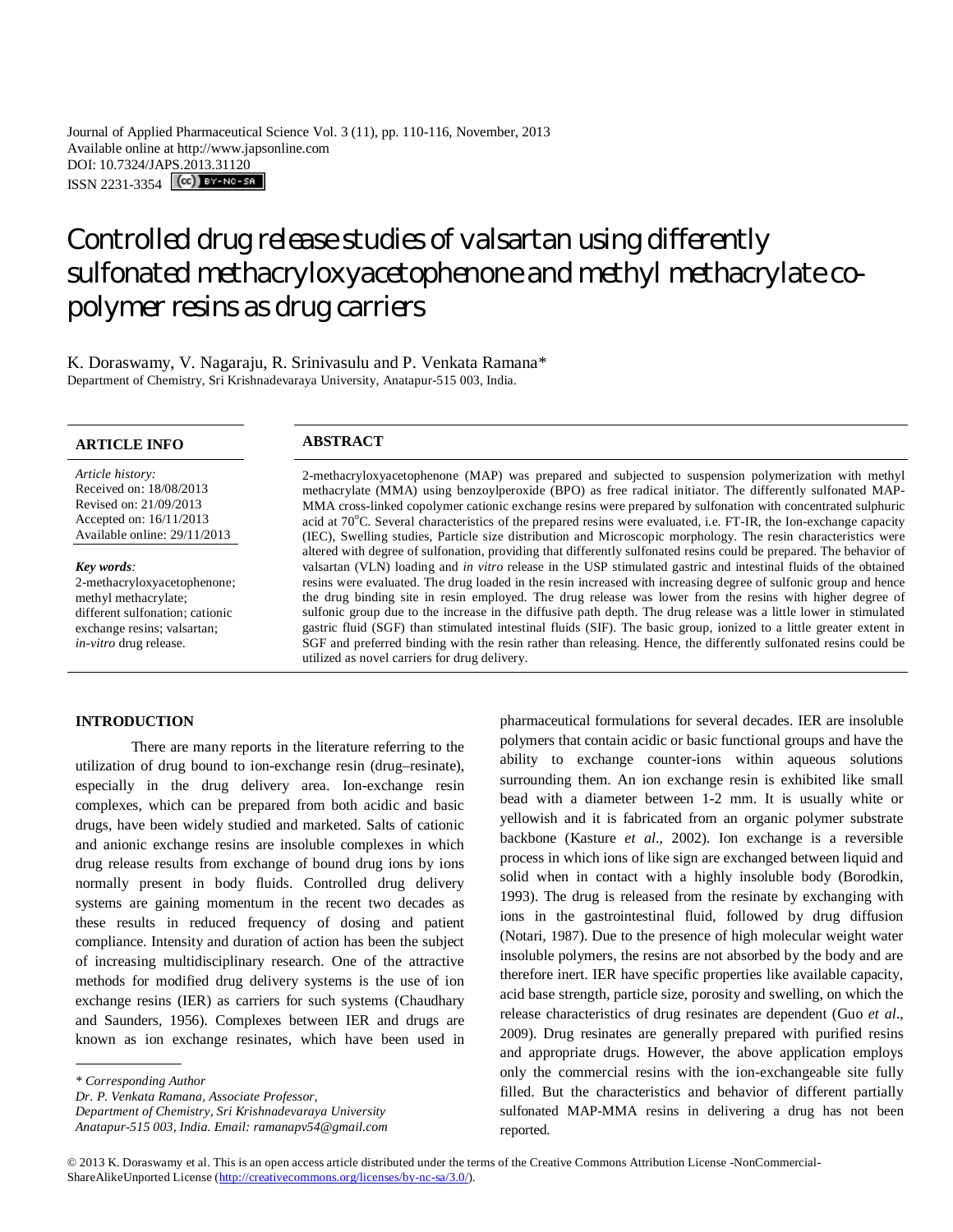Journal of Applied Pharmaceutical Science Vol. 3 (11), pp. 110-116, November, 2013 Available online at http://www.japsonline.com DOI: 10.7324/JAPS.2013.31120 ISSN 2231-3354 (CC) BY-NO-58

# Controlled drug release studies of valsartan using differently sulfonated methacryloxyacetophenone and methyl methacrylate copolymer resins as drug carriers

K. Doraswamy, V. Nagaraju, R. Srinivasulu and P. Venkata Ramana\* Department of Chemistry, Sri Krishnadevaraya University, Anatapur-515 003, India.

#### **ARTICLE INFO ABSTRACT**

*Article history:* Received on: 18/08/2013 Revised on: 21/09/2013 Accepted on: 16/11/2013 Available online: 29/11/2013

*Key words:*  2-methacryloxyacetophenone; methyl methacrylate; different sulfonation; cationic exchange resins; valsartan; *in-vitro* drug release.

2-methacryloxyacetophenone (MAP) was prepared and subjected to suspension polymerization with methyl methacrylate (MMA) using benzoylperoxide (BPO) as free radical initiator. The differently sulfonated MAP-MMA cross-linked copolymer cationic exchange resins were prepared by sulfonation with concentrated sulphuric acid at 70<sup>o</sup>C. Several characteristics of the prepared resins were evaluated, i.e. FT-IR, the Ion-exchange capacity (IEC), Swelling studies, Particle size distribution and Microscopic morphology. The resin characteristics were altered with degree of sulfonation, providing that differently sulfonated resins could be prepared. The behavior of valsartan (VLN) loading and *in vitro* release in the USP stimulated gastric and intestinal fluids of the obtained resins were evaluated. The drug loaded in the resin increased with increasing degree of sulfonic group and hence the drug binding site in resin employed. The drug release was lower from the resins with higher degree of sulfonic group due to the increase in the diffusive path depth. The drug release was a little lower in stimulated gastric fluid (SGF) than stimulated intestinal fluids (SIF). The basic group, ionized to a little greater extent in SGF and preferred binding with the resin rather than releasing. Hence, the differently sulfonated resins could be utilized as novel carriers for drug delivery.

# **INTRODUCTION**

There are many reports in the literature referring to the utilization of drug bound to ion-exchange resin (drug–resinate), especially in the drug delivery area. Ion-exchange resin complexes, which can be prepared from both acidic and basic drugs, have been widely studied and marketed. Salts of cationic and anionic exchange resins are insoluble complexes in which drug release results from exchange of bound drug ions by ions normally present in body fluids. Controlled drug delivery systems are gaining momentum in the recent two decades as these results in reduced frequency of dosing and patient compliance. Intensity and duration of action has been the subject of increasing multidisciplinary research. One of the attractive methods for modified drug delivery systems is the use of ion exchange resins (IER) as carriers for such systems (Chaudhary and Saunders, 1956). Complexes between IER and drugs are known as ion exchange resinates, which have been used in

 . *\* Corresponding Author*

*Dr. P. Venkata Ramana, Associate Professor,*

*Department of Chemistry, Sri Krishnadevaraya University* 

pharmaceutical formulations for several decades. IER are insoluble polymers that contain acidic or basic functional groups and have the ability to exchange counter-ions within aqueous solutions surrounding them. An ion exchange resin is exhibited like small bead with a diameter between 1-2 mm. It is usually white or yellowish and it is fabricated from an organic polymer substrate backbone (Kasture *et al*., 2002). Ion exchange is a reversible process in which ions of like sign are exchanged between liquid and solid when in contact with a highly insoluble body (Borodkin, 1993). The drug is released from the resinate by exchanging with ions in the gastrointestinal fluid, followed by drug diffusion (Notari, 1987). Due to the presence of high molecular weight water insoluble polymers, the resins are not absorbed by the body and are therefore inert. IER have specific properties like available capacity, acid base strength, particle size, porosity and swelling, on which the release characteristics of drug resinates are dependent (Guo *et al*., 2009). Drug resinates are generally prepared with purified resins and appropriate drugs. However, the above application employs only the commercial resins with the ion-exchangeable site fully filled. But the characteristics and behavior of different partially sulfonated MAP-MMA resins in delivering a drug has not been reported.

© 2013 K. Doraswamy et al. This is an open access article distributed under the terms of the Creative Commons Attribution License -NonCommercial-ShareAlikeUnported License (http://creativecommons.org/licenses/by-nc-sa/3.0/).

*Anatapur-515 003, India. Email: ramanapv54@gmail.com*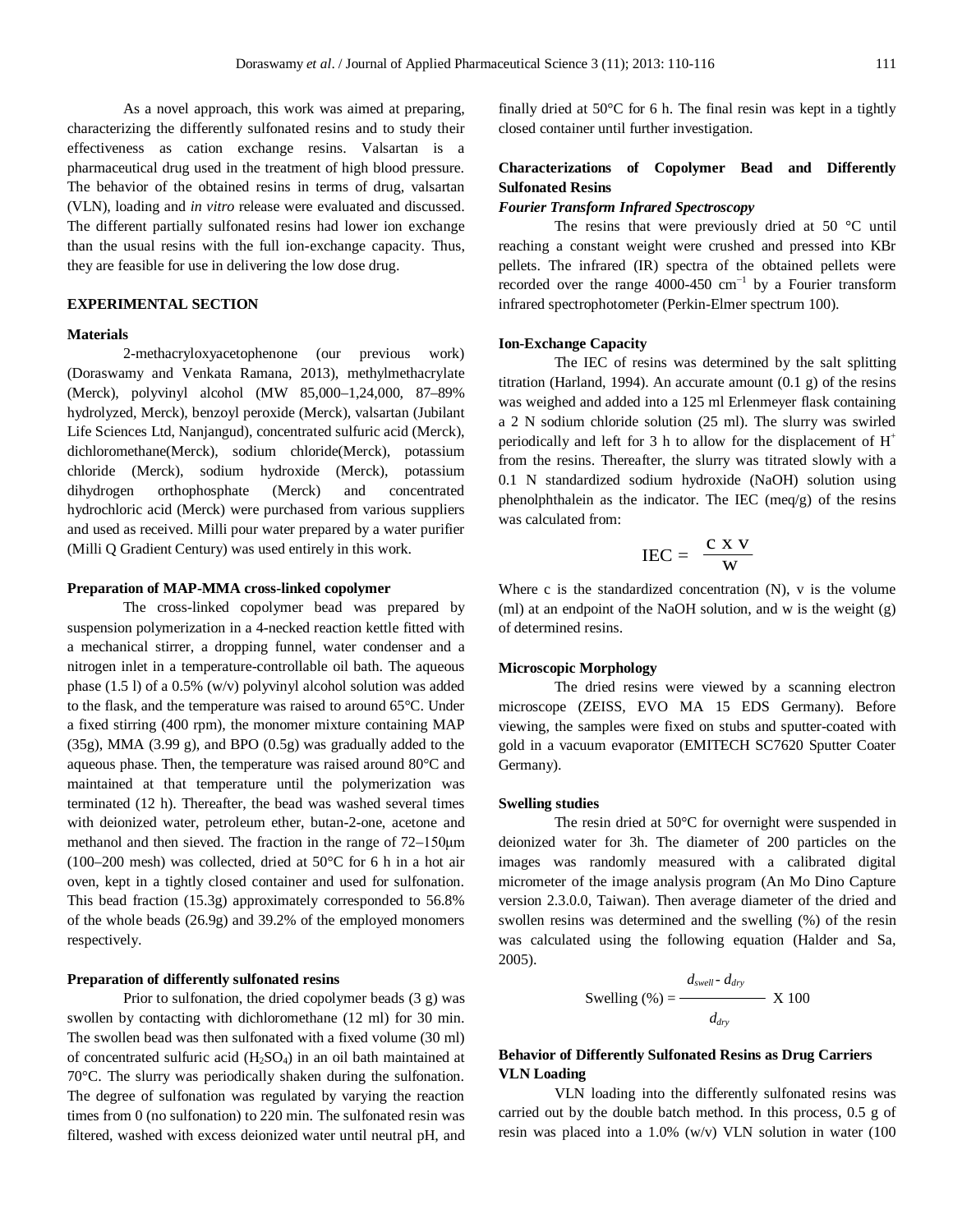As a novel approach, this work was aimed at preparing, characterizing the differently sulfonated resins and to study their effectiveness as cation exchange resins. Valsartan is a pharmaceutical drug used in the treatment of high blood pressure. The behavior of the obtained resins in terms of drug, valsartan (VLN), loading and *in vitro* release were evaluated and discussed. The different partially sulfonated resins had lower ion exchange than the usual resins with the full ion-exchange capacity. Thus, they are feasible for use in delivering the low dose drug.

#### **EXPERIMENTAL SECTION**

#### **Materials**

2-methacryloxyacetophenone (our previous work) (Doraswamy and Venkata Ramana, 2013), methylmethacrylate (Merck), polyvinyl alcohol (MW 85,000–1,24,000, 87–89% hydrolyzed, Merck), benzoyl peroxide (Merck), valsartan (Jubilant Life Sciences Ltd, Nanjangud), concentrated sulfuric acid (Merck), dichloromethane(Merck), sodium chloride(Merck), potassium chloride (Merck), sodium hydroxide (Merck), potassium dihydrogen orthophosphate (Merck) and concentrated hydrochloric acid (Merck) were purchased from various suppliers and used as received. Milli pour water prepared by a water purifier (Milli Q Gradient Century) was used entirely in this work.

#### **Preparation of MAP-MMA cross-linked copolymer**

The cross-linked copolymer bead was prepared by suspension polymerization in a 4-necked reaction kettle fitted with a mechanical stirrer, a dropping funnel, water condenser and a nitrogen inlet in a temperature-controllable oil bath. The aqueous phase (1.5 l) of a 0.5% (w/v) polyvinyl alcohol solution was added to the flask, and the temperature was raised to around 65°C. Under a fixed stirring (400 rpm), the monomer mixture containing MAP (35g), MMA (3.99 g), and BPO (0.5g) was gradually added to the aqueous phase. Then, the temperature was raised around 80°C and maintained at that temperature until the polymerization was terminated (12 h). Thereafter, the bead was washed several times with deionized water, petroleum ether, butan-2-one, acetone and methanol and then sieved. The fraction in the range of 72–150μm (100–200 mesh) was collected, dried at 50°C for 6 h in a hot air oven, kept in a tightly closed container and used for sulfonation. This bead fraction (15.3g) approximately corresponded to 56.8% of the whole beads (26.9g) and 39.2% of the employed monomers respectively.

#### **Preparation of differently sulfonated resins**

Prior to sulfonation, the dried copolymer beads (3 g) was swollen by contacting with dichloromethane (12 ml) for 30 min. The swollen bead was then sulfonated with a fixed volume (30 ml) of concentrated sulfuric acid  $(H_2SO_4)$  in an oil bath maintained at 70°C. The slurry was periodically shaken during the sulfonation. The degree of sulfonation was regulated by varying the reaction times from 0 (no sulfonation) to 220 min. The sulfonated resin was filtered, washed with excess deionized water until neutral pH, and finally dried at 50°C for 6 h. The final resin was kept in a tightly closed container until further investigation.

# **Characterizations of Copolymer Bead and Differently Sulfonated Resins**

#### *Fourier Transform Infrared Spectroscopy*

The resins that were previously dried at 50 °C until reaching a constant weight were crushed and pressed into KBr pellets. The infrared (IR) spectra of the obtained pellets were recorded over the range 4000-450  $cm^{-1}$  by a Fourier transform infrared spectrophotometer (Perkin-Elmer spectrum 100).

#### **Ion-Exchange Capacity**

The IEC of resins was determined by the salt splitting titration (Harland, 1994). An accurate amount  $(0.1 \text{ g})$  of the resins was weighed and added into a 125 ml Erlenmeyer flask containing a 2 N sodium chloride solution (25 ml). The slurry was swirled periodically and left for 3 h to allow for the displacement of  $H^+$ from the resins. Thereafter, the slurry was titrated slowly with a 0.1 N standardized sodium hydroxide (NaOH) solution using phenolphthalein as the indicator. The IEC (meq/g) of the resins was calculated from:

$$
IEC = \frac{c \times v}{w}
$$

Where c is the standardized concentration (N), v is the volume (ml) at an endpoint of the NaOH solution, and w is the weight  $(g)$ of determined resins.

#### **Microscopic Morphology**

The dried resins were viewed by a scanning electron microscope (ZEISS, EVO MA 15 EDS Germany). Before viewing, the samples were fixed on stubs and sputter-coated with gold in a vacuum evaporator (EMITECH SC7620 Sputter Coater Germany).

## **Swelling studies**

The resin dried at 50°C for overnight were suspended in deionized water for 3h. The diameter of 200 particles on the images was randomly measured with a calibrated digital micrometer of the image analysis program (An Mo Dino Capture version 2.3.0.0, Taiwan). Then average diameter of the dried and swollen resins was determined and the swelling (%) of the resin was calculated using the following equation (Halder and Sa, 2005).

$$
Swelling (%) = \frac{d_{swell} - d_{dry}}{d_{dry}} \times 100
$$

# **Behavior of Differently Sulfonated Resins as Drug Carriers VLN Loading**

VLN loading into the differently sulfonated resins was carried out by the double batch method. In this process, 0.5 g of resin was placed into a 1.0% (w/v) VLN solution in water (100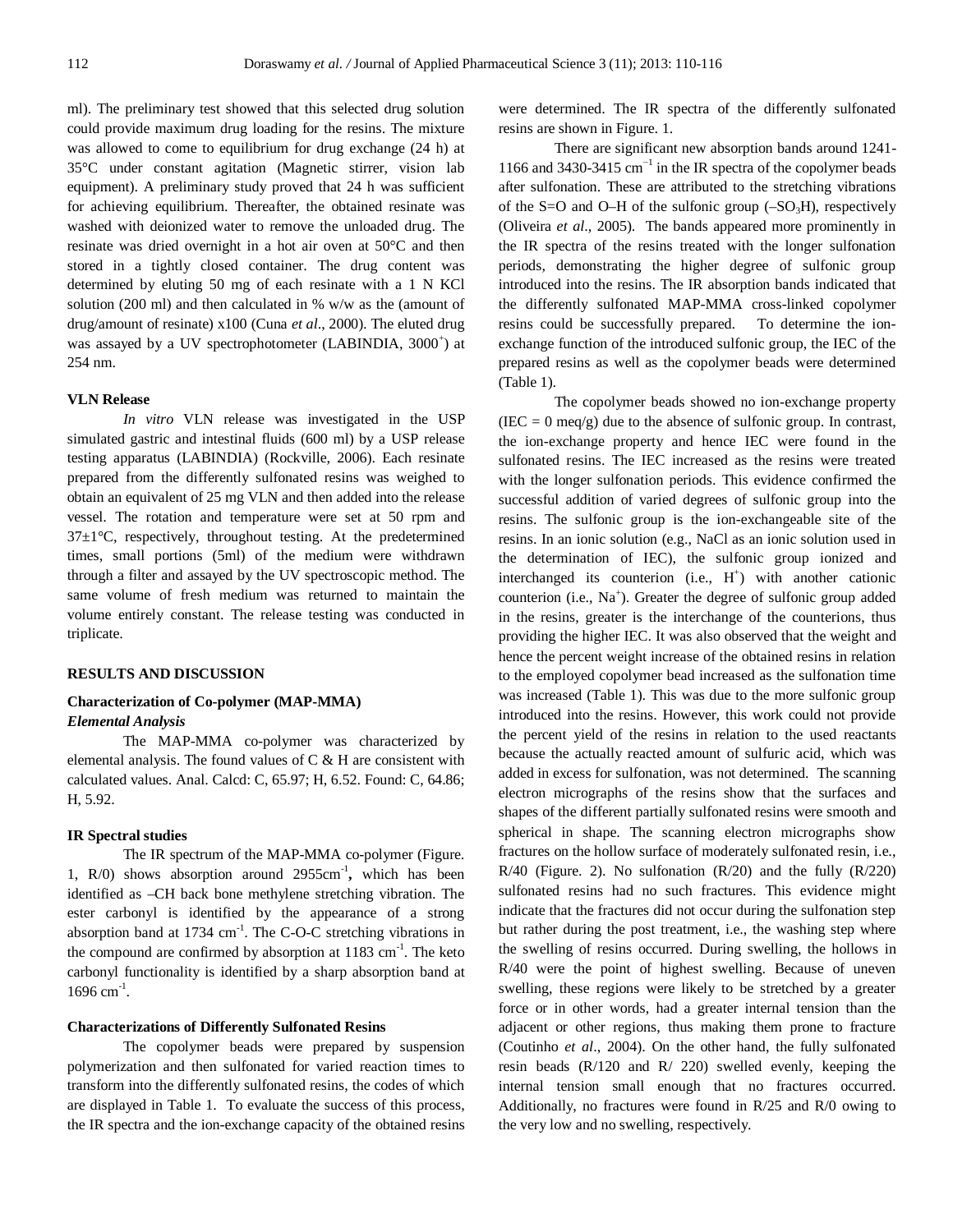ml). The preliminary test showed that this selected drug solution could provide maximum drug loading for the resins. The mixture was allowed to come to equilibrium for drug exchange (24 h) at 35°C under constant agitation (Magnetic stirrer, vision lab equipment). A preliminary study proved that 24 h was sufficient for achieving equilibrium. Thereafter, the obtained resinate was washed with deionized water to remove the unloaded drug. The resinate was dried overnight in a hot air oven at 50°C and then stored in a tightly closed container. The drug content was determined by eluting 50 mg of each resinate with a 1 N KCl solution (200 ml) and then calculated in % w/w as the (amount of drug/amount of resinate) x100 (Cuna *et al*., 2000). The eluted drug was assayed by a UV spectrophotometer (LABINDIA, 3000<sup>+</sup>) at 254 nm.

#### **VLN Release**

*In vitro* VLN release was investigated in the USP simulated gastric and intestinal fluids (600 ml) by a USP release testing apparatus (LABINDIA) (Rockville, 2006). Each resinate prepared from the differently sulfonated resins was weighed to obtain an equivalent of 25 mg VLN and then added into the release vessel. The rotation and temperature were set at 50 rpm and  $37\pm1\degree$ C, respectively, throughout testing. At the predetermined times, small portions (5ml) of the medium were withdrawn through a filter and assayed by the UV spectroscopic method. The same volume of fresh medium was returned to maintain the volume entirely constant. The release testing was conducted in triplicate.

#### **RESULTS AND DISCUSSION**

# **Characterization of Co-polymer (MAP-MMA)**  *Elemental Analysis*

The MAP-MMA co-polymer was characterized by elemental analysis. The found values of C & H are consistent with calculated values. Anal. Calcd: C, 65.97; H, 6.52. Found: C, 64.86; H, 5.92.

#### **IR Spectral studies**

The IR spectrum of the MAP-MMA co-polymer (Figure. 1, R/0) shows absorption around 2955cm-1 **,** which has been identified as –CH back bone methylene stretching vibration. The ester carbonyl is identified by the appearance of a strong absorption band at  $1734 \text{ cm}^{-1}$ . The C-O-C stretching vibrations in the compound are confirmed by absorption at  $1183 \text{ cm}^{-1}$ . The keto carbonyl functionality is identified by a sharp absorption band at  $1696$  cm<sup>-1</sup>.

# **Characterizations of Differently Sulfonated Resins**

The copolymer beads were prepared by suspension polymerization and then sulfonated for varied reaction times to transform into the differently sulfonated resins, the codes of which are displayed in Table 1. To evaluate the success of this process, the IR spectra and the ion-exchange capacity of the obtained resins were determined. The IR spectra of the differently sulfonated resins are shown in Figure. 1.

There are significant new absorption bands around 1241- 1166 and 3430-3415 cm<sup>−</sup><sup>1</sup> in the IR spectra of the copolymer beads after sulfonation. These are attributed to the stretching vibrations of the S=O and O–H of the sulfonic group  $(-SO<sub>3</sub>H)$ , respectively (Oliveira *et al*., 2005). The bands appeared more prominently in the IR spectra of the resins treated with the longer sulfonation periods, demonstrating the higher degree of sulfonic group introduced into the resins. The IR absorption bands indicated that the differently sulfonated MAP-MMA cross-linked copolymer resins could be successfully prepared. To determine the ionexchange function of the introduced sulfonic group, the IEC of the prepared resins as well as the copolymer beads were determined (Table 1).

The copolymer beads showed no ion-exchange property  $(IEC = 0 \text{ meg/g})$  due to the absence of sulfonic group. In contrast, the ion-exchange property and hence IEC were found in the sulfonated resins. The IEC increased as the resins were treated with the longer sulfonation periods. This evidence confirmed the successful addition of varied degrees of sulfonic group into the resins. The sulfonic group is the ion-exchangeable site of the resins. In an ionic solution (e.g., NaCl as an ionic solution used in the determination of IEC), the sulfonic group ionized and interchanged its counterion  $(i.e., H<sup>+</sup>)$  with another cationic counterion (i.e., Na<sup>+</sup>). Greater the degree of sulfonic group added in the resins, greater is the interchange of the counterions, thus providing the higher IEC. It was also observed that the weight and hence the percent weight increase of the obtained resins in relation to the employed copolymer bead increased as the sulfonation time was increased (Table 1). This was due to the more sulfonic group introduced into the resins. However, this work could not provide the percent yield of the resins in relation to the used reactants because the actually reacted amount of sulfuric acid, which was added in excess for sulfonation, was not determined. The scanning electron micrographs of the resins show that the surfaces and shapes of the different partially sulfonated resins were smooth and spherical in shape. The scanning electron micrographs show fractures on the hollow surface of moderately sulfonated resin, i.e.,  $R/40$  (Figure. 2). No sulfonation  $(R/20)$  and the fully  $(R/220)$ sulfonated resins had no such fractures. This evidence might indicate that the fractures did not occur during the sulfonation step but rather during the post treatment, i.e., the washing step where the swelling of resins occurred. During swelling, the hollows in R/40 were the point of highest swelling. Because of uneven swelling, these regions were likely to be stretched by a greater force or in other words, had a greater internal tension than the adjacent or other regions, thus making them prone to fracture (Coutinho *et al*., 2004). On the other hand, the fully sulfonated resin beads (R/120 and R/ 220) swelled evenly, keeping the internal tension small enough that no fractures occurred. Additionally, no fractures were found in R/25 and R/0 owing to the very low and no swelling, respectively.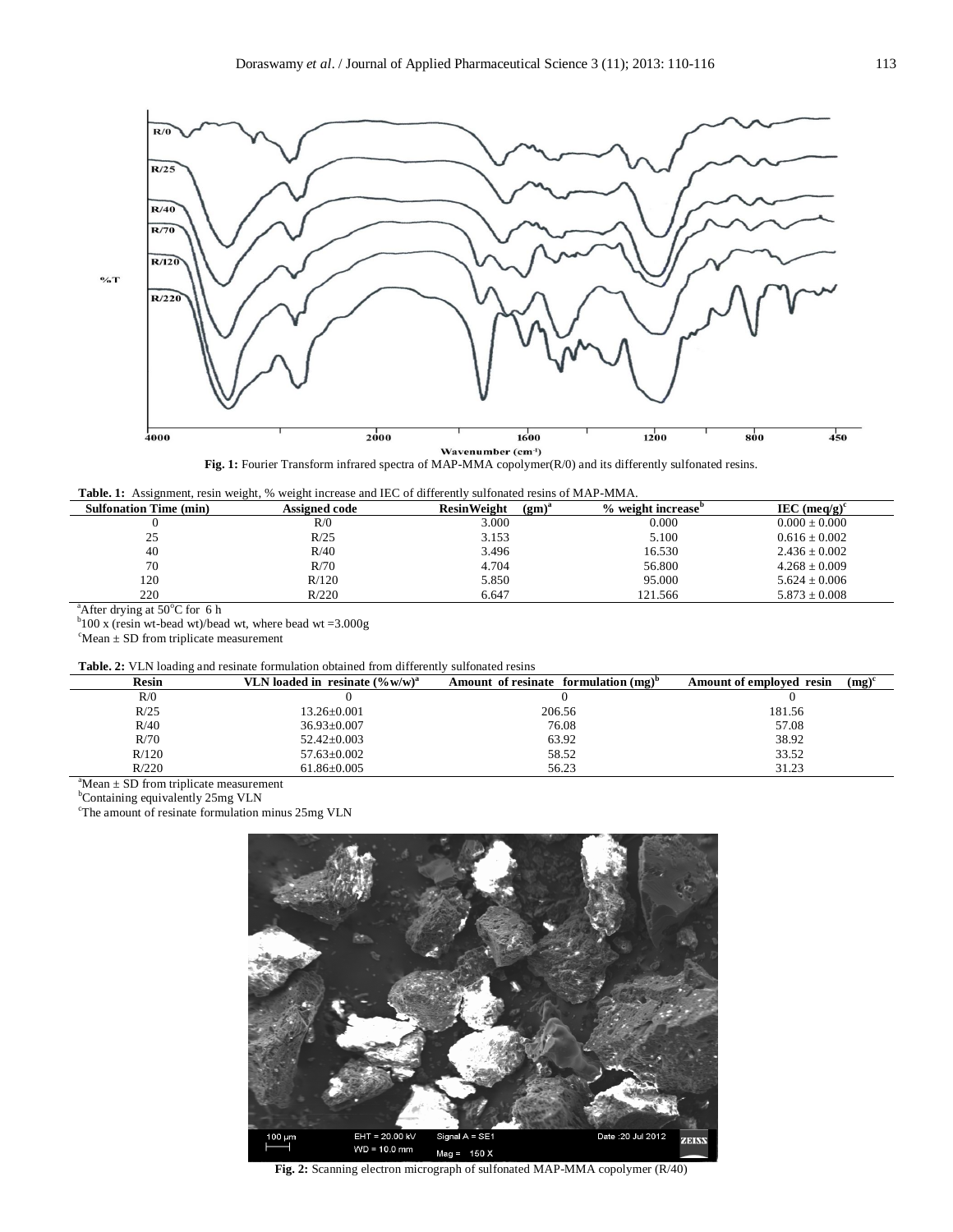

**Fig. 1:** Fourier Transform infrared spectra of MAP-MMA copolymer(R/0) and its differently sulfonated resins.

|--|

| <b>Sulfonation Time (min)</b> | <b>Assigned code</b> | $(gm)^a$<br><b>ResinWeight</b> | % weight increase | IEC $(meq/g)^c$   |
|-------------------------------|----------------------|--------------------------------|-------------------|-------------------|
|                               | R/0                  | 3.000                          | 0.000             | $0.000 \pm 0.000$ |
| 25                            | R/25                 | 3.153                          | 5.100             | $0.616 \pm 0.002$ |
| 40                            | R/40                 | 3.496                          | 16.530            | $2.436 \pm 0.002$ |
| 70                            | R/70                 | 4.704                          | 56.800            | $4.268 \pm 0.009$ |
| 120                           | R/120                | 5.850                          | 95.000            | $5.624 \pm 0.006$ |
| 220                           | R/220                | 6.647                          | 121.566           | $5.873 \pm 0.008$ |

<sup>a</sup>After drying at 50°C for 6 h<br><sup>b</sup>100 x (resin wt-bead wt)/bead wt, where bead wt =3.000g

 $\mbox{``Mean} \pm \mbox{SD}$  from triplicate measurement

#### **Table. 2:** VLN loading and resinate formulation obtained from differently sulfonated resins

| <b>Resin</b> | VLN loaded in resinate $(\%w/w)^a$ | Amount of resinate formulation $(mg)^{D}$ | $(mg)^c$<br>Amount of emploved resin |
|--------------|------------------------------------|-------------------------------------------|--------------------------------------|
| R/0          |                                    |                                           |                                      |
| R/25         | 13.26±0.001                        | 206.56                                    | 181.56                               |
| R/40         | $36.93 \pm 0.007$                  | 76.08                                     | 57.08                                |
| R/70         | $52.42 \pm 0.003$                  | 63.92                                     | 38.92                                |
| R/120        | $57.63 \pm 0.002$                  | 58.52                                     | 33.52                                |
| R/220        | $61.86 \pm 0.005$                  | 56.23                                     | 31.23                                |
|              |                                    |                                           |                                      |

 ${}^{\text{a}}$ Mean  $\pm$  SD from triplicate measurement

b<sub>C</sub>ontaining equivalently 25mg VLN

<sup>c</sup>The amount of resinate formulation minus 25mg VLN



**Fig. 2:** Scanning electron micrograph of sulfonated MAP-MMA copolymer (R/40)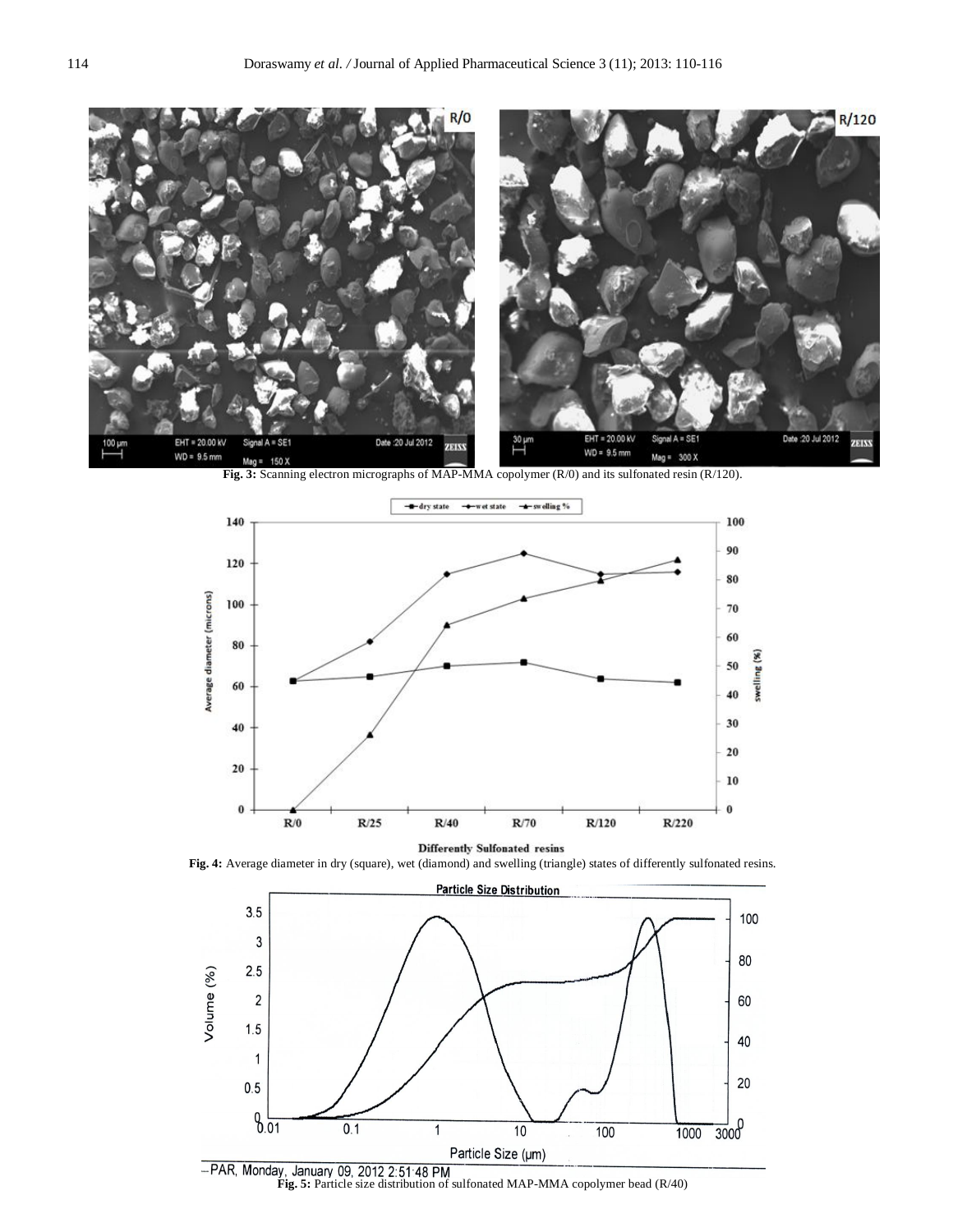



**Differently Sulfonated resins** 

**Fig. 4:** Average diameter in dry (square), wet (diamond) and swelling (triangle) states of differently sulfonated resins.



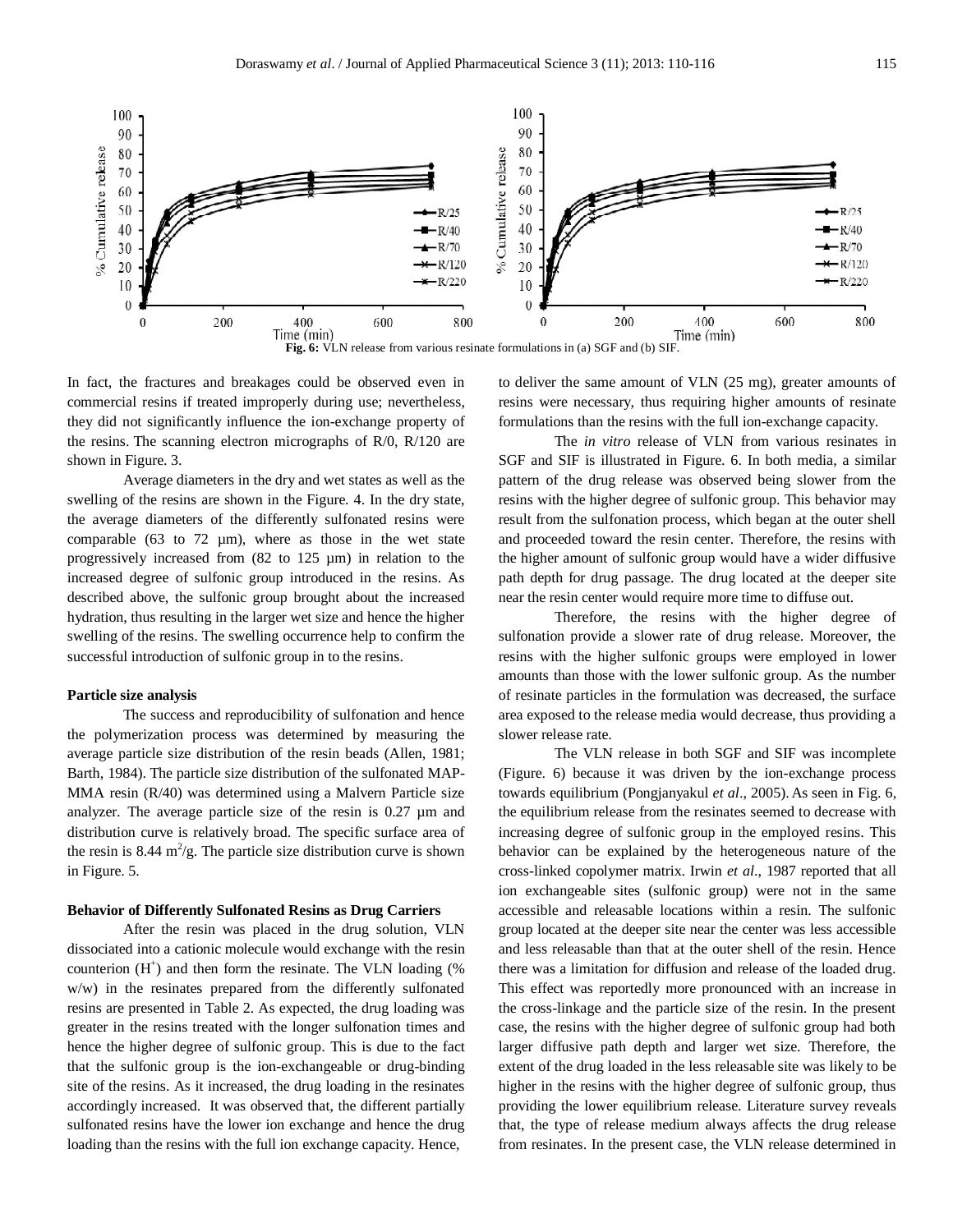

In fact, the fractures and breakages could be observed even in commercial resins if treated improperly during use; nevertheless, they did not significantly influence the ion-exchange property of the resins. The scanning electron micrographs of R/0, R/120 are shown in Figure. 3.

Average diameters in the dry and wet states as well as the swelling of the resins are shown in the Figure. 4. In the dry state, the average diameters of the differently sulfonated resins were comparable  $(63 \text{ to } 72 \text{ µm})$ , where as those in the wet state progressively increased from (82 to 125 µm) in relation to the increased degree of sulfonic group introduced in the resins. As described above, the sulfonic group brought about the increased hydration, thus resulting in the larger wet size and hence the higher swelling of the resins. The swelling occurrence help to confirm the successful introduction of sulfonic group in to the resins.

### **Particle size analysis**

The success and reproducibility of sulfonation and hence the polymerization process was determined by measuring the average particle size distribution of the resin beads (Allen, 1981; Barth, 1984). The particle size distribution of the sulfonated MAP-MMA resin (R/40) was determined using a Malvern Particle size analyzer. The average particle size of the resin is 0.27 µm and distribution curve is relatively broad. The specific surface area of the resin is  $8.44 \text{ m}^2/\text{g}$ . The particle size distribution curve is shown in Figure. 5.

#### **Behavior of Differently Sulfonated Resins as Drug Carriers**

After the resin was placed in the drug solution, VLN dissociated into a cationic molecule would exchange with the resin counterion  $(H<sup>+</sup>)$  and then form the resinate. The VLN loading  $(\%$ w/w) in the resinates prepared from the differently sulfonated resins are presented in Table 2. As expected, the drug loading was greater in the resins treated with the longer sulfonation times and hence the higher degree of sulfonic group. This is due to the fact that the sulfonic group is the ion-exchangeable or drug-binding site of the resins. As it increased, the drug loading in the resinates accordingly increased. It was observed that, the different partially sulfonated resins have the lower ion exchange and hence the drug loading than the resins with the full ion exchange capacity. Hence,

to deliver the same amount of VLN (25 mg), greater amounts of resins were necessary, thus requiring higher amounts of resinate formulations than the resins with the full ion-exchange capacity.

The *in vitro* release of VLN from various resinates in SGF and SIF is illustrated in Figure. 6. In both media, a similar pattern of the drug release was observed being slower from the resins with the higher degree of sulfonic group. This behavior may result from the sulfonation process, which began at the outer shell and proceeded toward the resin center. Therefore, the resins with the higher amount of sulfonic group would have a wider diffusive path depth for drug passage. The drug located at the deeper site near the resin center would require more time to diffuse out.

Therefore, the resins with the higher degree of sulfonation provide a slower rate of drug release. Moreover, the resins with the higher sulfonic groups were employed in lower amounts than those with the lower sulfonic group. As the number of resinate particles in the formulation was decreased, the surface area exposed to the release media would decrease, thus providing a slower release rate.

The VLN release in both SGF and SIF was incomplete (Figure. 6) because it was driven by the ion-exchange process towards equilibrium (Pongjanyakul *et al*., 2005). As seen in Fig. 6, the equilibrium release from the resinates seemed to decrease with increasing degree of sulfonic group in the employed resins. This behavior can be explained by the heterogeneous nature of the cross-linked copolymer matrix. Irwin *et al*., 1987 reported that all ion exchangeable sites (sulfonic group) were not in the same accessible and releasable locations within a resin. The sulfonic group located at the deeper site near the center was less accessible and less releasable than that at the outer shell of the resin. Hence there was a limitation for diffusion and release of the loaded drug. This effect was reportedly more pronounced with an increase in the cross-linkage and the particle size of the resin. In the present case, the resins with the higher degree of sulfonic group had both larger diffusive path depth and larger wet size. Therefore, the extent of the drug loaded in the less releasable site was likely to be higher in the resins with the higher degree of sulfonic group, thus providing the lower equilibrium release. Literature survey reveals that, the type of release medium always affects the drug release from resinates. In the present case, the VLN release determined in